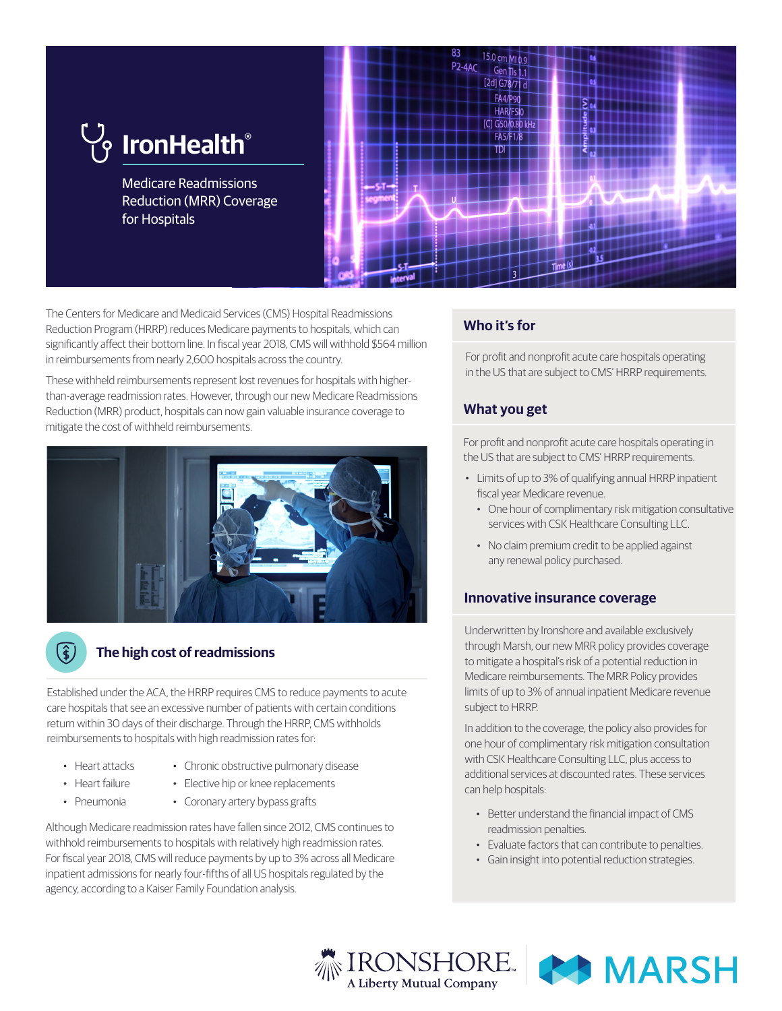

The Centers for Medicare and Medicaid Services (CMS) Hospital Readmissions Reduction Program (HRRP) reduces Medicare payments to hospitals, which can significantly affect their bottom line. In fiscal year 2018, CMS will withhold \$564 million in reimbursements from nearly 2,600 hospitals across the country.

These withheld reimbursements represent lost revenues for hospitals with higherthan-average readmission rates. However, through our new Medicare Readmissions Reduction (MRR) product, hospitals can now gain valuable insurance coverage to mitigate the cost of withheld reimbursements.



## **The high cost of readmissions**

Established under the ACA, the HRRP requires CMS to reduce payments to acute care hospitals that see an excessive number of patients with certain conditions return within 30 days of their discharge. Through the HRRP, CMS withholds reimbursements to hospitals with high readmission rates for:

• Heart attacks

(\$)

- Chronic obstructive pulmonary disease
- Heart failure
- Pneumonia
- Elective hip or knee replacements
- Coronary artery bypass grafts

Although Medicare readmission rates have fallen since 2012, CMS continues to withhold reimbursements to hospitals with relatively high readmission rates. For fiscal year 2018, CMS will reduce payments by up to 3% across all Medicare inpatient admissions for nearly four-fifths of all US hospitals regulated by the agency, according to a Kaiser Family Foundation analysis.

# **Who it's for**

For profit and nonprofit acute care hospitals operating in the US that are subject to CMS' HRRP requirements.

## **What you get**

For profit and nonprofit acute care hospitals operating in the US that are subject to CMS' HRRP requirements.

- Limits of up to 3% of qualifying annual HRRP inpatient fiscal year Medicare revenue.
	- One hour of complimentary risk mitigation consultative services with CSK Healthcare Consulting LLC.
	- No claim premium credit to be applied against any renewal policy purchased.

## **Innovative insurance coverage**

Underwritten by Ironshore and available exclusively through Marsh, our new MRR policy provides coverage to mitigate a hospital's risk of a potential reduction in Medicare reimbursements. The MRR Policy provides limits of up to 3% of annual inpatient Medicare revenue subject to HRRP.

In addition to the coverage, the policy also provides for one hour of complimentary risk mitigation consultation with CSK Healthcare Consulting LLC, plus access to additional services at discounted rates. These services can help hospitals:

- Better understand the financial impact of CMS readmission penalties.
- Evaluate factors that can contribute to penalties.
- Gain insight into potential reduction strategies.